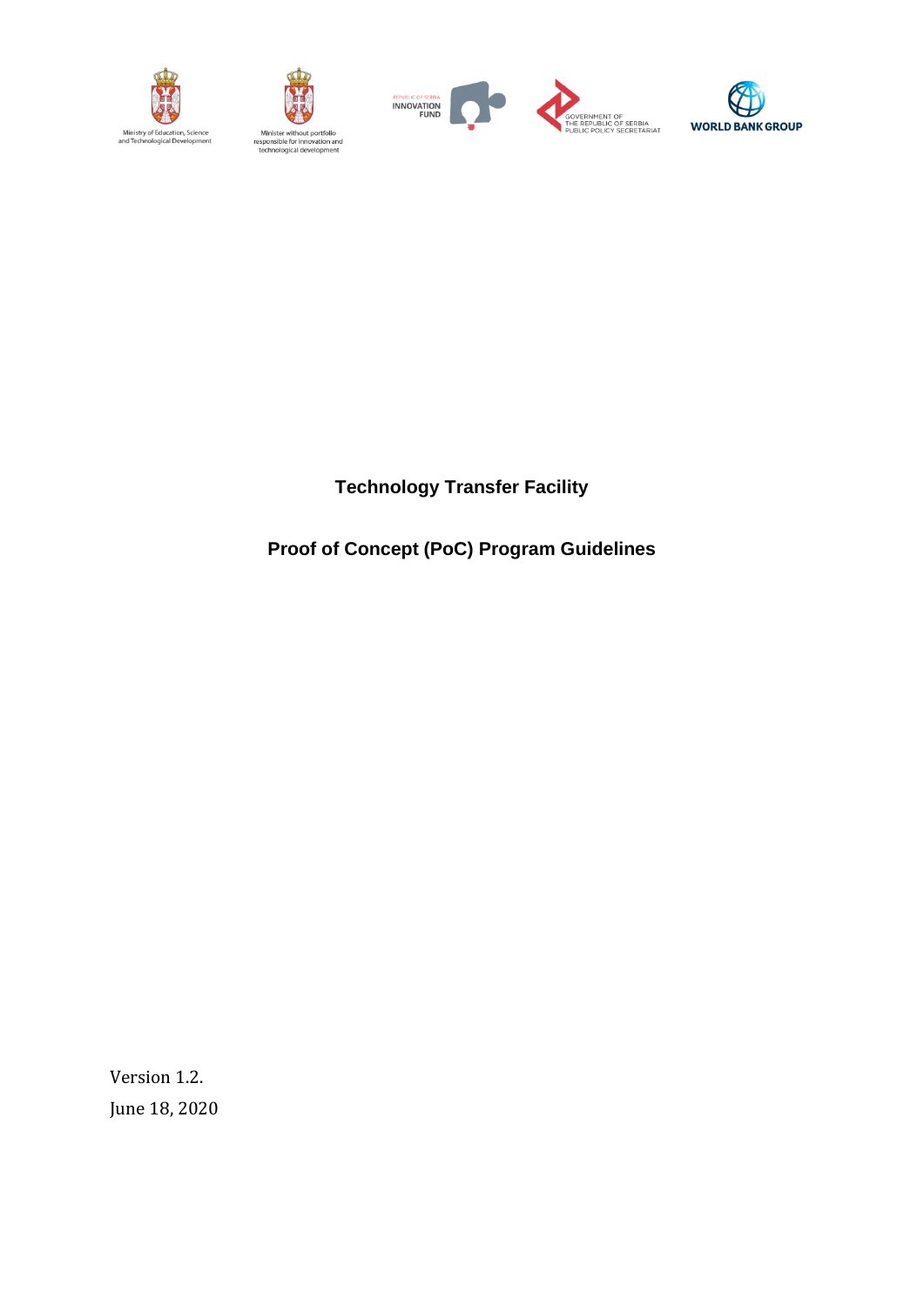







:BIA<br>:TARIAT

**Technology Transfer Facility**

**Proof of Concept (PoC) Program Guidelines**

Version 1.2. June 18, 2020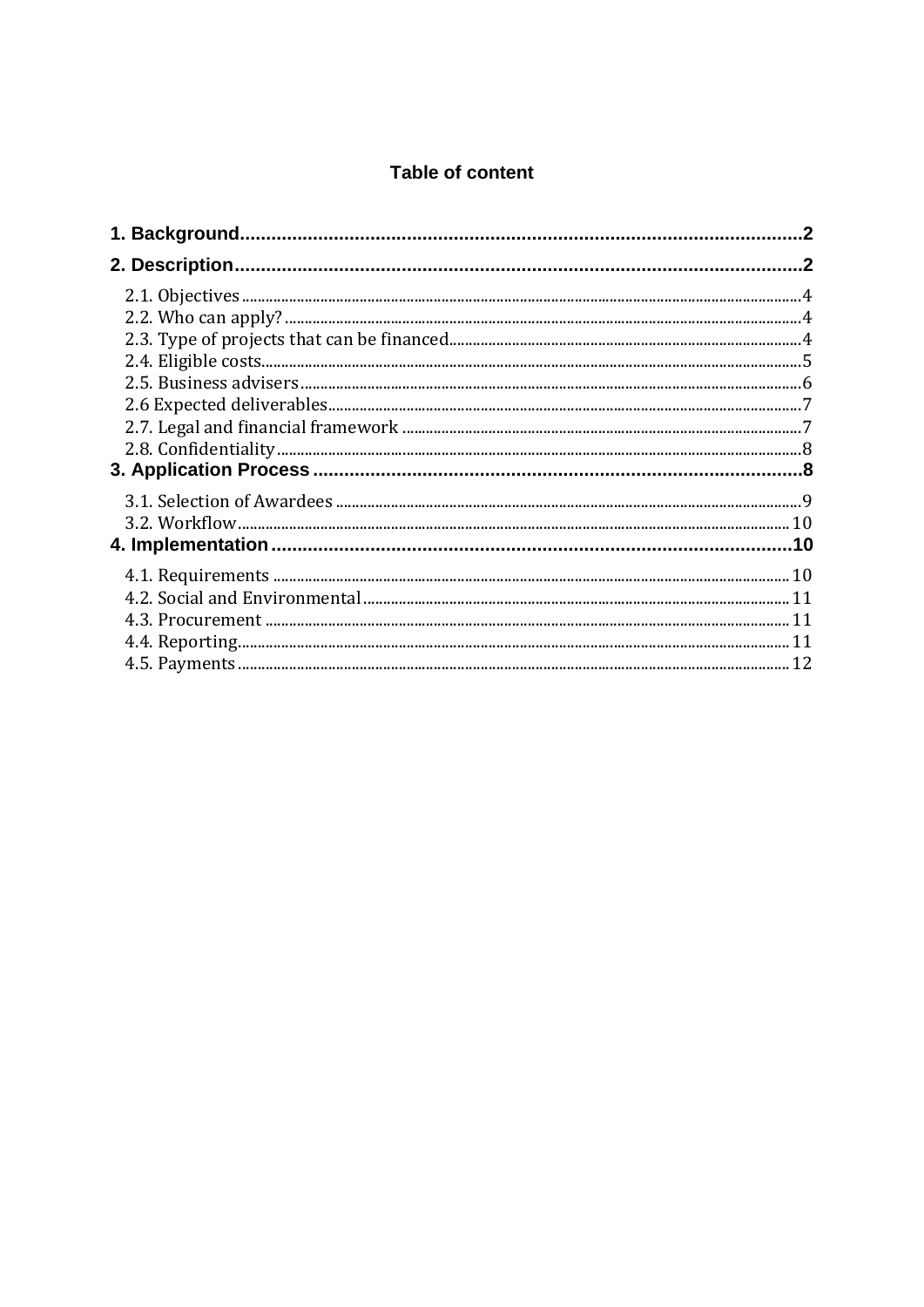## **Table of content**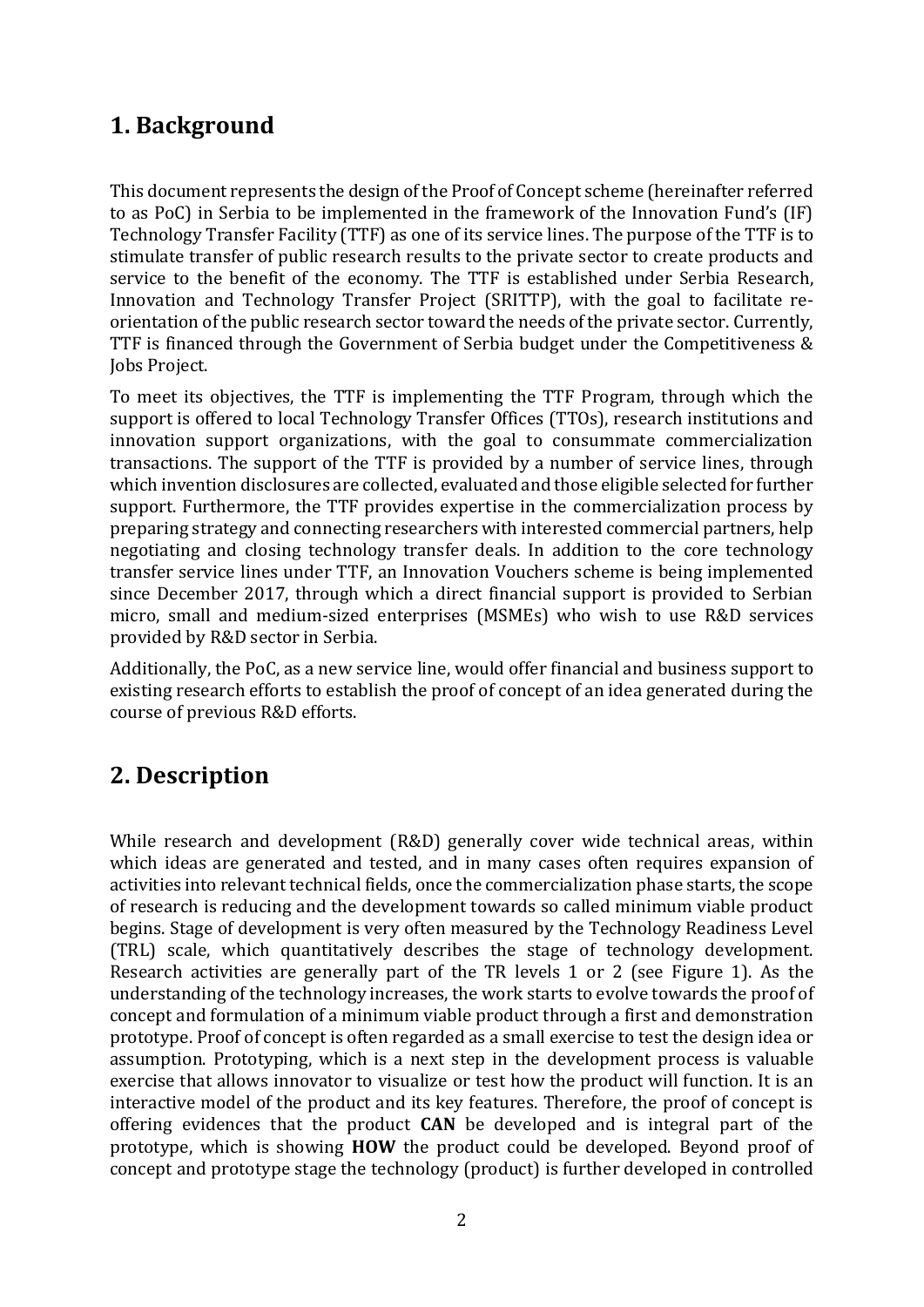# **1. Background**

This document represents the design of the Proof of Concept scheme (hereinafter referred to as PoC) in Serbia to be implemented in the framework of the Innovation Fund's (IF) Technology Transfer Facility (TTF) as one of its service lines. The purpose of the TTF is to stimulate transfer of public research results to the private sector to create products and service to the benefit of the economy. The TTF is established under Serbia Research, Innovation and Technology Transfer Project (SRITTP), with the goal to facilitate reorientation of the public research sector toward the needs of the private sector. Currently, TTF is financed through the Government of Serbia budget under the Competitiveness & Jobs Project.

To meet its objectives, the TTF is implementing the TTF Program, through which the support is offered to local Technology Transfer Offices (TTOs), research institutions and innovation support organizations, with the goal to consummate commercialization transactions. The support of the TTF is provided by a number of service lines, through which invention disclosures are collected, evaluated and those eligible selected for further support. Furthermore, the TTF provides expertise in the commercialization process by preparing strategy and connecting researchers with interested commercial partners, help negotiating and closing technology transfer deals. In addition to the core technology transfer service lines under TTF, an Innovation Vouchers scheme is being implemented since December 2017, through which a direct financial support is provided to Serbian micro, small and medium-sized enterprises (MSMEs) who wish to use R&D services provided by R&D sector in Serbia.

Additionally, the PoC, as a new service line, would offer financial and business support to existing research efforts to establish the proof of concept of an idea generated during the course of previous R&D efforts.

# **2. Description**

While research and development (R&D) generally cover wide technical areas, within which ideas are generated and tested, and in many cases often requires expansion of activities into relevant technical fields, once the commercialization phase starts, the scope of research is reducing and the development towards so called minimum viable product begins. Stage of development is very often measured by the Technology Readiness Level (TRL) scale, which quantitatively describes the stage of technology development. Research activities are generally part of the TR levels 1 or 2 (see Figure 1). As the understanding of the technology increases, the work starts to evolve towards the proof of concept and formulation of a minimum viable product through a first and demonstration prototype. Proof of concept is often regarded as a small exercise to test the design idea or assumption. Prototyping, which is a next step in the development process is valuable exercise that allows innovator to visualize or test how the product will function. It is an interactive model of the product and its key features. Therefore, the proof of concept is offering evidences that the product **CAN** be developed and is integral part of the prototype, which is showing **HOW** the product could be developed. Beyond proof of concept and prototype stage the technology (product) is further developed in controlled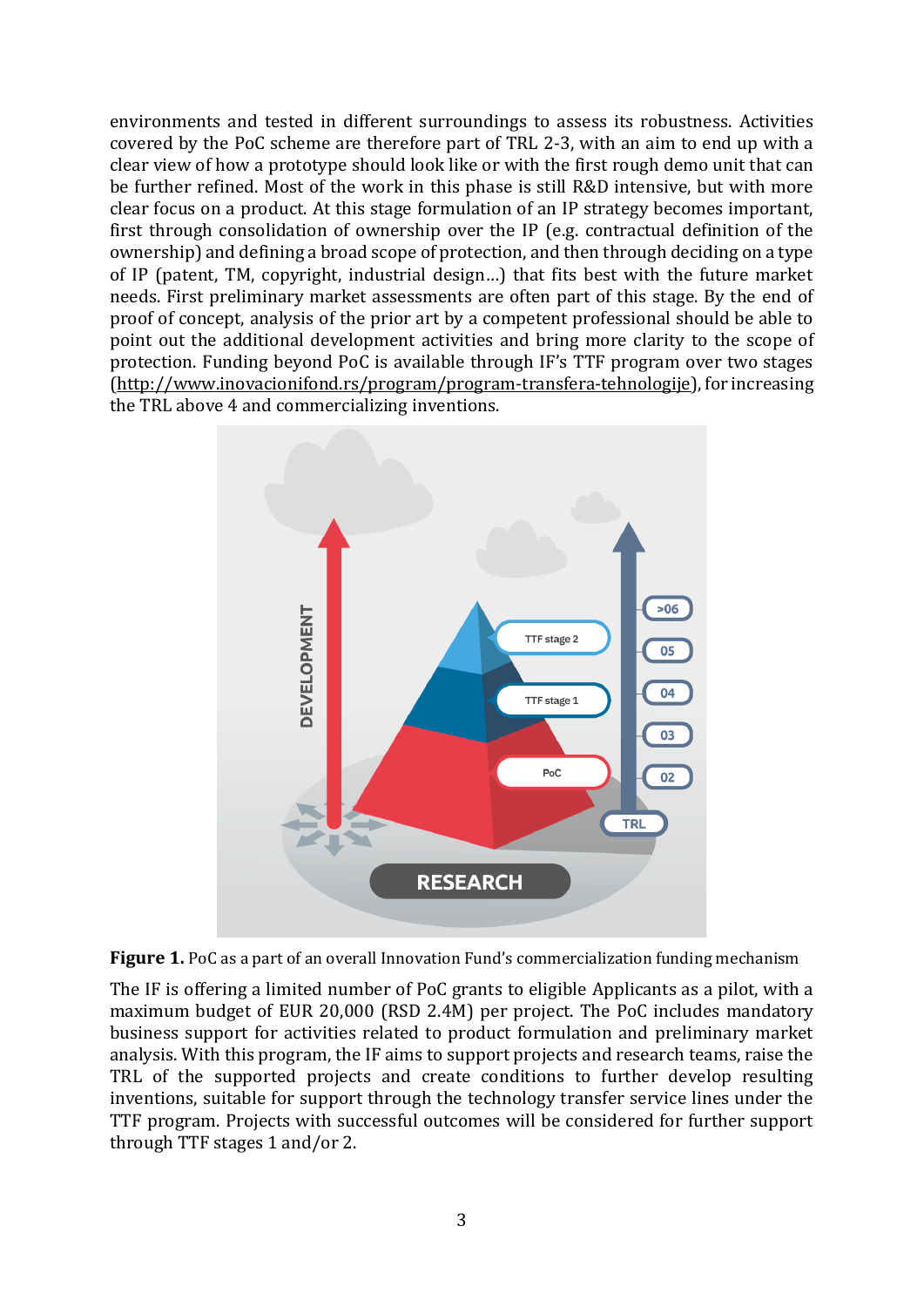environments and tested in different surroundings to assess its robustness. Activities covered by the PoC scheme are therefore part of TRL 2-3, with an aim to end up with a clear view of how a prototype should look like or with the first rough demo unit that can be further refined. Most of the work in this phase is still R&D intensive, but with more clear focus on a product. At this stage formulation of an IP strategy becomes important, first through consolidation of ownership over the IP (e.g. contractual definition of the ownership) and defining a broad scope of protection, and then through deciding on a type of IP (patent, TM, copyright, industrial design…) that fits best with the future market needs. First preliminary market assessments are often part of this stage. By the end of proof of concept, analysis of the prior art by a competent professional should be able to point out the additional development activities and bring more clarity to the scope of protection. Funding beyond PoC is available through IF's TTF program over two stages [\(http://www.inovacionifond.rs/program/program-transfera-tehnologije\)](http://www.inovacionifond.rs/program/program-transfera-tehnologije), for increasing the TRL above 4 and commercializing inventions.





The IF is offering a limited number of PoC grants to eligible Applicants as a pilot, with a maximum budget of EUR 20,000 (RSD 2.4M) per project. The PoC includes mandatory business support for activities related to product formulation and preliminary market analysis. With this program, the IF aims to support projects and research teams, raise the TRL of the supported projects and create conditions to further develop resulting inventions, suitable for support through the technology transfer service lines under the TTF program. Projects with successful outcomes will be considered for further support through TTF stages 1 and/or 2.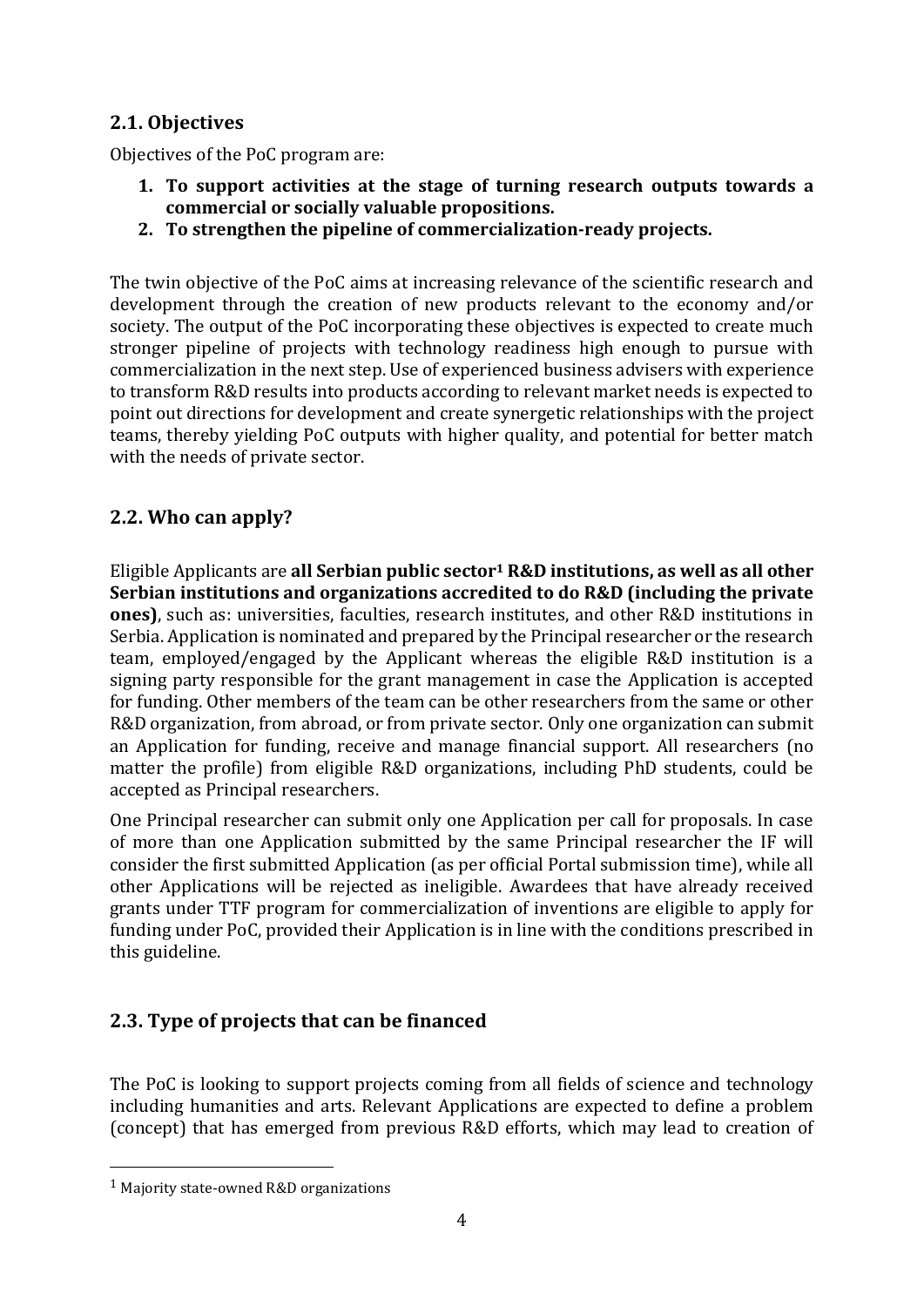# **2.1. Objectives**

Objectives of the PoC program are:

- **1. To support activities at the stage of turning research outputs towards a commercial or socially valuable propositions.**
- **2. To strengthen the pipeline of commercialization-ready projects.**

The twin objective of the PoC aims at increasing relevance of the scientific research and development through the creation of new products relevant to the economy and/or society. The output of the PoC incorporating these objectives is expected to create much stronger pipeline of projects with technology readiness high enough to pursue with commercialization in the next step. Use of experienced business advisers with experience to transform R&D results into products according to relevant market needs is expected to point out directions for development and create synergetic relationships with the project teams, thereby yielding PoC outputs with higher quality, and potential for better match with the needs of private sector.

# **2.2. Who can apply?**

Eligible Applicants are **all Serbian public sector<sup>1</sup> R&D institutions, as well as all other Serbian institutions and organizations accredited to do R&D (including the private ones)**, such as: universities, faculties, research institutes, and other R&D institutions in Serbia. Application is nominated and prepared by the Principal researcher or the research team, employed/engaged by the Applicant whereas the eligible R&D institution is a signing party responsible for the grant management in case the Application is accepted for funding. Other members of the team can be other researchers from the same or other R&D organization, from abroad, or from private sector. Only one organization can submit an Application for funding, receive and manage financial support. All researchers (no matter the profile) from eligible R&D organizations, including PhD students, could be accepted as Principal researchers.

One Principal researcher can submit only one Application per call for proposals. In case of more than one Application submitted by the same Principal researcher the IF will consider the first submitted Application (as per official Portal submission time), while all other Applications will be rejected as ineligible. Awardees that have already received grants under TTF program for commercialization of inventions are eligible to apply for funding under PoC, provided their Application is in line with the conditions prescribed in this guideline.

# **2.3. Type of projects that can be financed**

The PoC is looking to support projects coming from all fields of science and technology including humanities and arts. Relevant Applications are expected to define a problem (concept) that has emerged from previous R&D efforts, which may lead to creation of

<sup>1</sup> Majority state-owned R&D organizations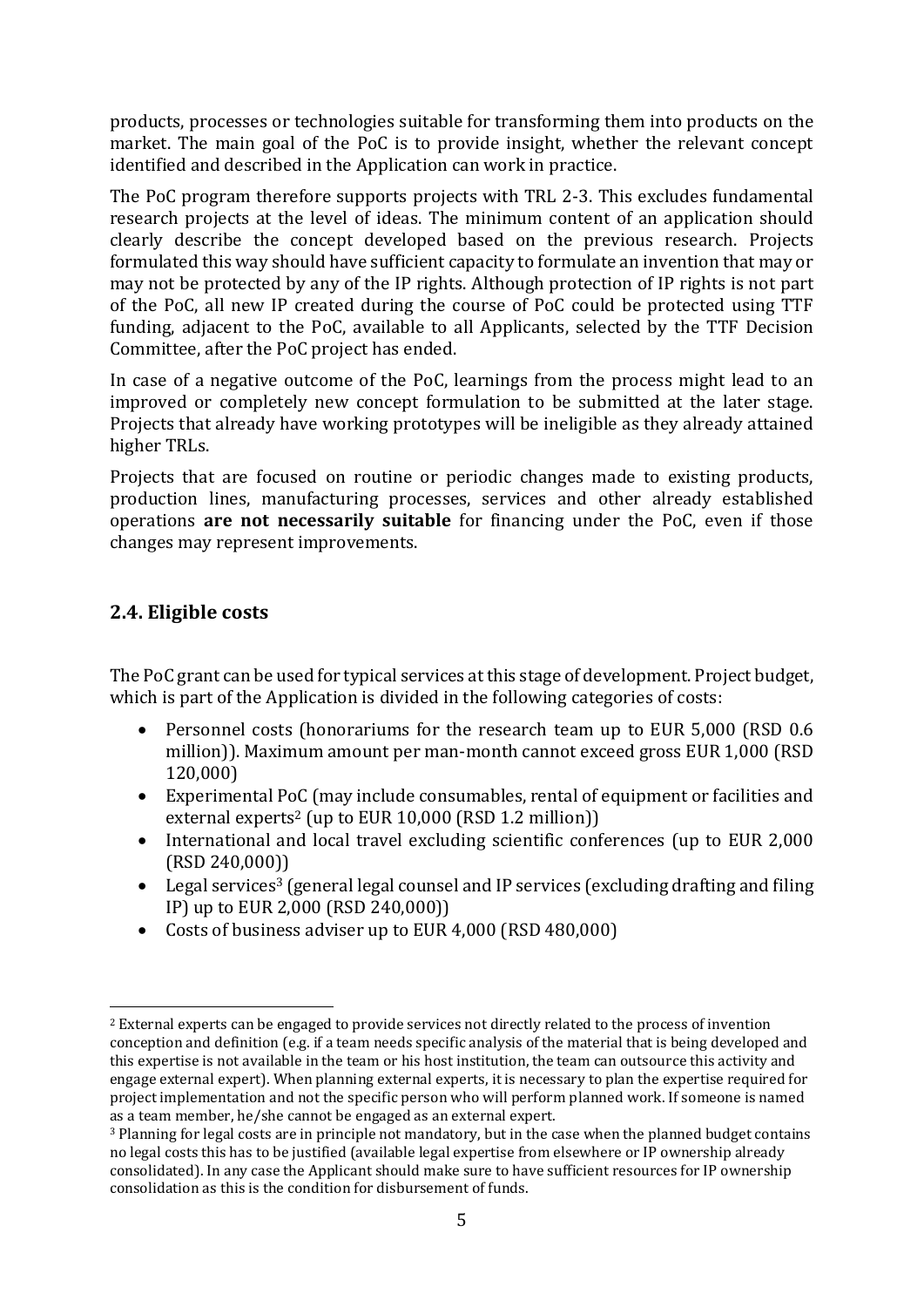products, processes or technologies suitable for transforming them into products on the market. The main goal of the PoC is to provide insight, whether the relevant concept identified and described in the Application can work in practice.

The PoC program therefore supports projects with TRL 2-3. This excludes fundamental research projects at the level of ideas. The minimum content of an application should clearly describe the concept developed based on the previous research. Projects formulated this way should have sufficient capacity to formulate an invention that may or may not be protected by any of the IP rights. Although protection of IP rights is not part of the PoC, all new IP created during the course of PoC could be protected using TTF funding, adjacent to the PoC, available to all Applicants, selected by the TTF Decision Committee, after the PoC project has ended.

In case of a negative outcome of the PoC, learnings from the process might lead to an improved or completely new concept formulation to be submitted at the later stage. Projects that already have working prototypes will be ineligible as they already attained higher TRLs.

Projects that are focused on routine or periodic changes made to existing products, production lines, manufacturing processes, services and other already established operations **are not necessarily suitable** for financing under the PoC, even if those changes may represent improvements.

# **2.4. Eligible costs**

The PoC grant can be used for typical services at this stage of development. Project budget, which is part of the Application is divided in the following categories of costs:

- Personnel costs (honorariums for the research team up to EUR 5,000 (RSD 0.6) million)). Maximum amount per man-month cannot exceed gross EUR 1,000 (RSD 120,000)
- Experimental PoC (may include consumables, rental of equipment or facilities and external experts<sup>2</sup> (up to EUR 10,000 (RSD 1.2 million))
- International and local travel excluding scientific conferences (up to EUR 2,000 (RSD 240,000))
- Legal services<sup>3</sup> (general legal counsel and IP services (excluding drafting and filing IP) up to EUR 2,000 (RSD 240,000))
- Costs of business adviser up to EUR 4,000 (RSD 480,000)

<sup>2</sup> External experts can be engaged to provide services not directly related to the process of invention conception and definition (e.g. if a team needs specific analysis of the material that is being developed and this expertise is not available in the team or his host institution, the team can outsource this activity and engage external expert). When planning external experts, it is necessary to plan the expertise required for project implementation and not the specific person who will perform planned work. If someone is named as a team member, he/she cannot be engaged as an external expert.

<sup>3</sup> Planning for legal costs are in principle not mandatory, but in the case when the planned budget contains no legal costs this has to be justified (available legal expertise from elsewhere or IP ownership already consolidated). In any case the Applicant should make sure to have sufficient resources for IP ownership consolidation as this is the condition for disbursement of funds.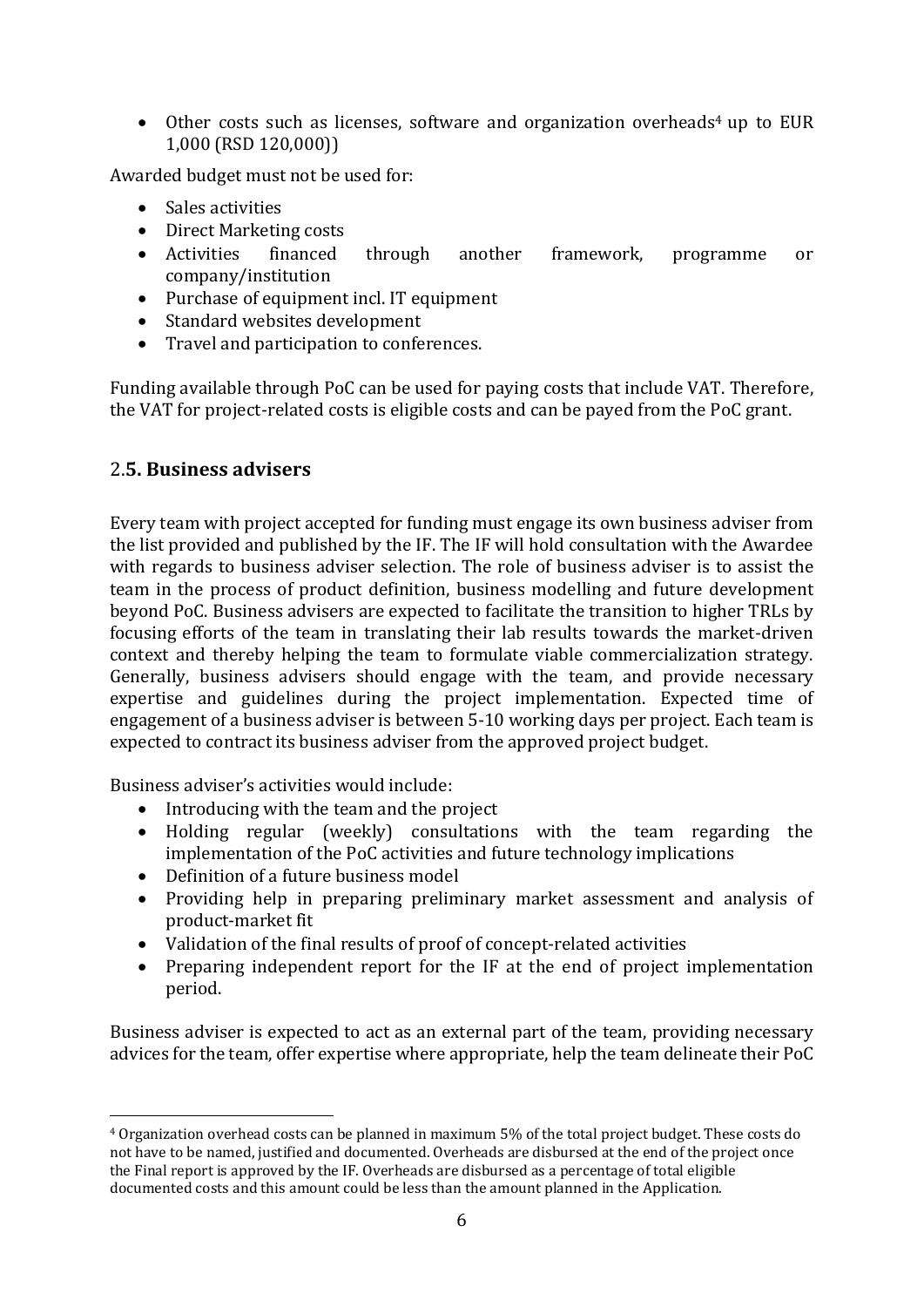• Other costs such as licenses, software and organization overheads<sup>4</sup> up to EUR 1,000 (RSD 120,000))

Awarded budget must not be used for:

- Sales activities
- Direct Marketing costs
- Activities financed through another framework, programme or company/institution
- Purchase of equipment incl. IT equipment
- Standard websites development
- Travel and participation to conferences.

Funding available through PoC can be used for paying costs that include VAT. Therefore, the VAT for project-related costs is eligible costs and can be payed from the PoC grant.

#### 2.**5. Business advisers**

Every team with project accepted for funding must engage its own business adviser from the list provided and published by the IF. The IF will hold consultation with the Awardee with regards to business adviser selection. The role of business adviser is to assist the team in the process of product definition, business modelling and future development beyond PoC. Business advisers are expected to facilitate the transition to higher TRLs by focusing efforts of the team in translating their lab results towards the market-driven context and thereby helping the team to formulate viable commercialization strategy. Generally, business advisers should engage with the team, and provide necessary expertise and guidelines during the project implementation. Expected time of engagement of a business adviser is between 5-10 working days per project. Each team is expected to contract its business adviser from the approved project budget.

Business adviser's activities would include:

- Introducing with the team and the project
- Holding regular (weekly) consultations with the team regarding the implementation of the PoC activities and future technology implications
- Definition of a future business model
- Providing help in preparing preliminary market assessment and analysis of product-market fit
- Validation of the final results of proof of concept-related activities
- Preparing independent report for the IF at the end of project implementation period.

Business adviser is expected to act as an external part of the team, providing necessary advices for the team, offer expertise where appropriate, help the team delineate their PoC

<sup>4</sup> Organization overhead costs can be planned in maximum 5% of the total project budget. These costs do not have to be named, justified and documented. Overheads are disbursed at the end of the project once the Final report is approved by the IF. Overheads are disbursed as a percentage of total eligible documented costs and this amount could be less than the amount planned in the Application.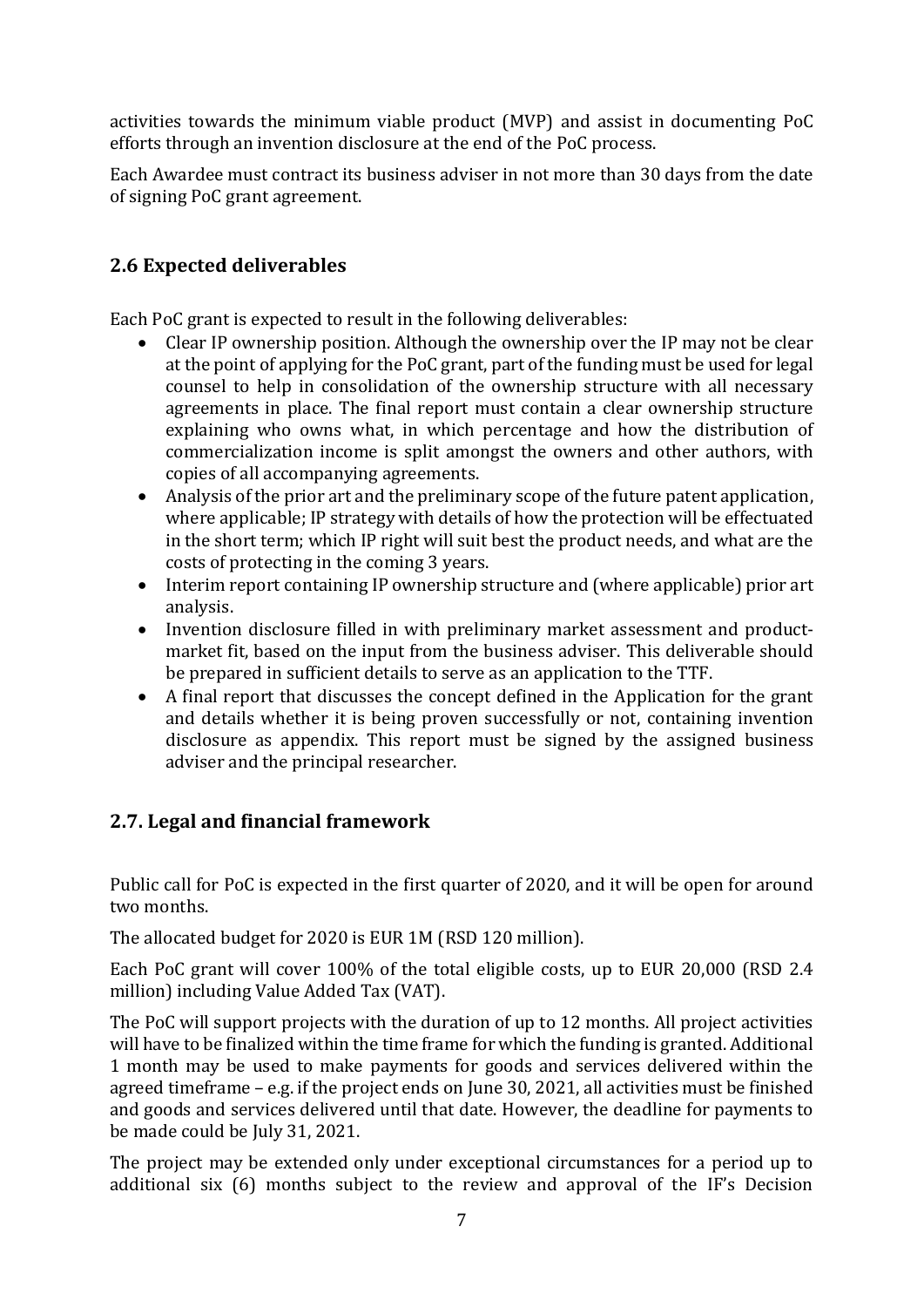activities towards the minimum viable product (MVP) and assist in documenting PoC efforts through an invention disclosure at the end of the PoC process.

Each Awardee must contract its business adviser in not more than 30 days from the date of signing PoC grant agreement.

# **2.6 Expected deliverables**

Each PoC grant is expected to result in the following deliverables:

- Clear IP ownership position. Although the ownership over the IP may not be clear at the point of applying for the PoC grant, part of the funding must be used for legal counsel to help in consolidation of the ownership structure with all necessary agreements in place. The final report must contain a clear ownership structure explaining who owns what, in which percentage and how the distribution of commercialization income is split amongst the owners and other authors, with copies of all accompanying agreements.
- Analysis of the prior art and the preliminary scope of the future patent application, where applicable; IP strategy with details of how the protection will be effectuated in the short term; which IP right will suit best the product needs, and what are the costs of protecting in the coming 3 years.
- Interim report containing IP ownership structure and (where applicable) prior art analysis.
- Invention disclosure filled in with preliminary market assessment and productmarket fit, based on the input from the business adviser. This deliverable should be prepared in sufficient details to serve as an application to the TTF.
- A final report that discusses the concept defined in the Application for the grant and details whether it is being proven successfully or not, containing invention disclosure as appendix. This report must be signed by the assigned business adviser and the principal researcher.

# **2.7. Legal and financial framework**

Public call for PoC is expected in the first quarter of 2020, and it will be open for around two months.

The allocated budget for 2020 is EUR 1M (RSD 120 million).

Each PoC grant will cover 100% of the total eligible costs, up to EUR 20,000 (RSD 2.4 million) including Value Added Tax (VAT).

The PoC will support projects with the duration of up to 12 months. All project activities will have to be finalized within the time frame for which the funding is granted. Additional 1 month may be used to make payments for goods and services delivered within the agreed timeframe – e.g. if the project ends on June 30, 2021, all activities must be finished and goods and services delivered until that date. However, the deadline for payments to be made could be July 31, 2021.

The project may be extended only under exceptional circumstances for a period up to additional six (6) months subject to the review and approval of the IF's Decision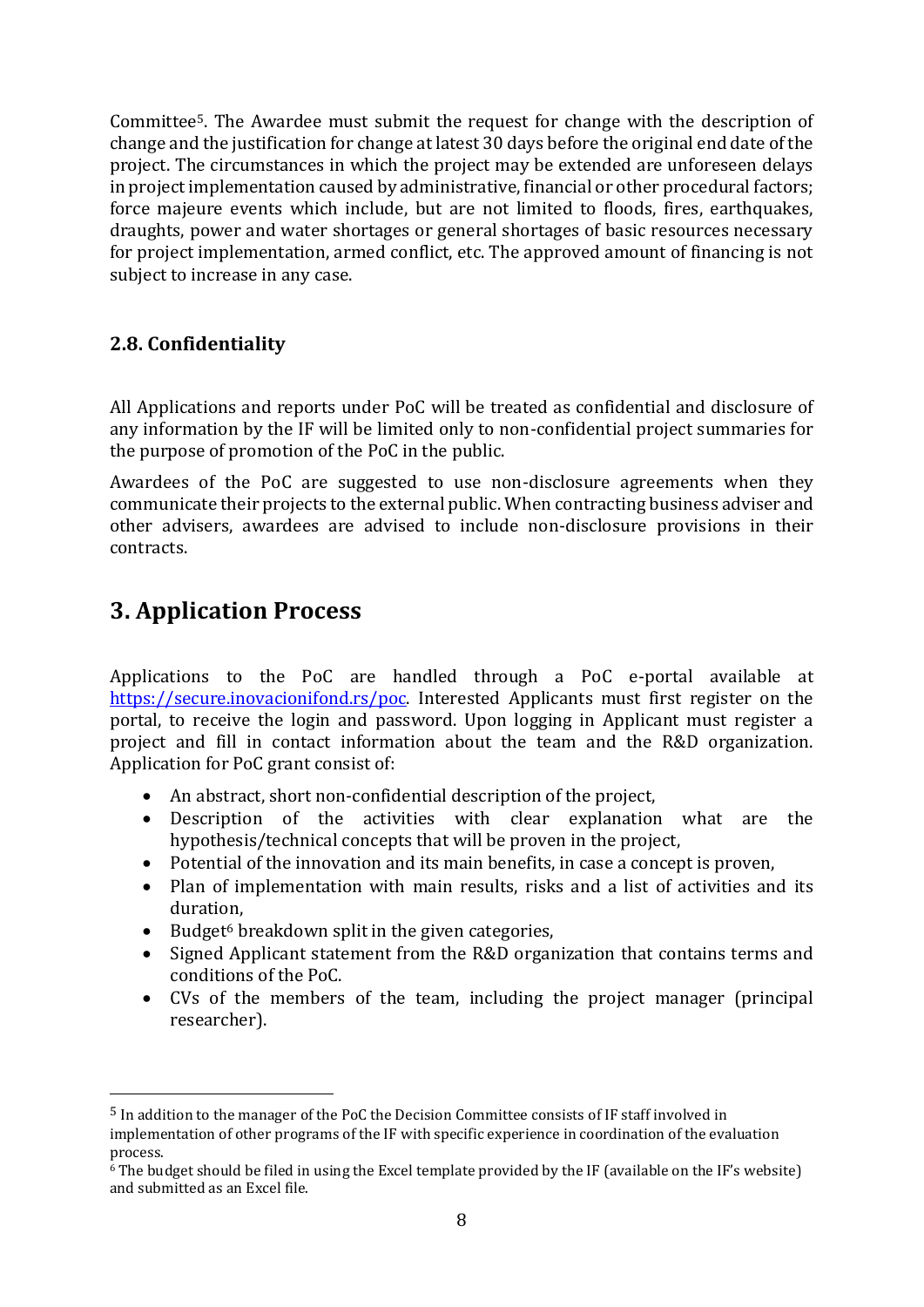Committee5. The Awardee must submit the request for change with the description of change and the justification for change at latest 30 days before the original end date of the project. The circumstances in which the project may be extended are unforeseen delays in project implementation caused by administrative, financial or other procedural factors; force majeure events which include, but are not limited to floods, fires, earthquakes, draughts, power and water shortages or general shortages of basic resources necessary for project implementation, armed conflict, etc. The approved amount of financing is not subject to increase in any case.

#### **2.8. Confidentiality**

All Applications and reports under PoC will be treated as confidential and disclosure of any information by the IF will be limited only to non-confidential project summaries for the purpose of promotion of the PoC in the public.

Awardees of the PoC are suggested to use non-disclosure agreements when they communicate their projects to the external public. When contracting business adviser and other advisers, awardees are advised to include non-disclosure provisions in their contracts.

# **3. Application Process**

Applications to the PoC are handled through a PoC e-portal available at [https://secure.inovacionifond.rs/poc.](https://secure.inovacionifond.rs/poc) Interested Applicants must first register on the portal, to receive the login and password. Upon logging in Applicant must register a project and fill in contact information about the team and the R&D organization. Application for PoC grant consist of:

- An abstract, short non-confidential description of the project,
- Description of the activities with clear explanation what are the hypothesis/technical concepts that will be proven in the project,
- Potential of the innovation and its main benefits, in case a concept is proven,
- Plan of implementation with main results, risks and a list of activities and its duration,
- Budget<sup>6</sup> breakdown split in the given categories,
- Signed Applicant statement from the R&D organization that contains terms and conditions of the PoC.
- CVs of the members of the team, including the project manager (principal researcher).

<sup>5</sup> In addition to the manager of the PoC the Decision Committee consists of IF staff involved in implementation of other programs of the IF with specific experience in coordination of the evaluation process.

<sup>6</sup> The budget should be filed in using the Excel template provided by the IF (available on the IF's website) and submitted as an Excel file.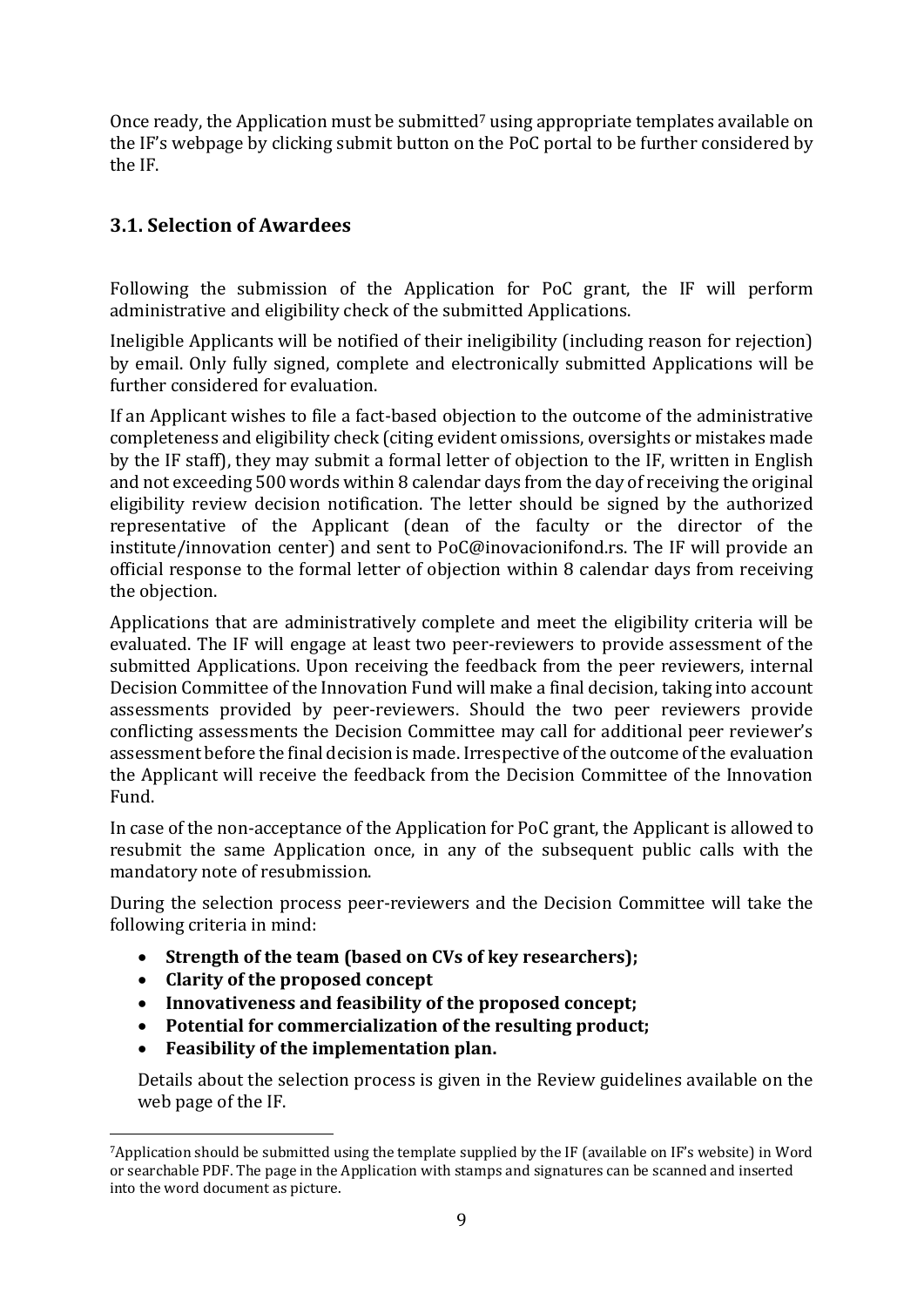Once ready, the Application must be submitted<sup>7</sup> using appropriate templates available on the IF's webpage by clicking submit button on the PoC portal to be further considered by the IF.

# **3.1. Selection of Awardees**

Following the submission of the Application for PoC grant, the IF will perform administrative and eligibility check of the submitted Applications.

Ineligible Applicants will be notified of their ineligibility (including reason for rejection) by email. Only fully signed, complete and electronically submitted Applications will be further considered for evaluation.

If an Applicant wishes to file a fact-based objection to the outcome of the administrative completeness and eligibility check (citing evident omissions, oversights or mistakes made by the IF staff), they may submit a formal letter of objection to the IF, written in English and not exceeding 500 words within 8 calendar days from the day of receiving the original eligibility review decision notification. The letter should be signed by the authorized representative of the Applicant (dean of the faculty or the director of the institute/innovation center) and sent to PoC@inovacionifond.rs. The IF will provide an official response to the formal letter of objection within 8 calendar days from receiving the objection.

Applications that are administratively complete and meet the eligibility criteria will be evaluated. The IF will engage at least two peer-reviewers to provide assessment of the submitted Applications. Upon receiving the feedback from the peer reviewers, internal Decision Committee of the Innovation Fund will make a final decision, taking into account assessments provided by peer-reviewers. Should the two peer reviewers provide conflicting assessments the Decision Committee may call for additional peer reviewer's assessment before the final decision is made. Irrespective of the outcome of the evaluation the Applicant will receive the feedback from the Decision Committee of the Innovation Fund.

In case of the non-acceptance of the Application for PoC grant, the Applicant is allowed to resubmit the same Application once, in any of the subsequent public calls with the mandatory note of resubmission.

During the selection process peer-reviewers and the Decision Committee will take the following criteria in mind:

- **Strength of the team (based on CVs of key researchers);**
- **Clarity of the proposed concept**
- **Innovativeness and feasibility of the proposed concept;**
- **Potential for commercialization of the resulting product;**
- **Feasibility of the implementation plan.**

Details about the selection process is given in the Review guidelines available on the web page of the IF.

<sup>7</sup>Application should be submitted using the template supplied by the IF (available on IF's website) in Word or searchable PDF. The page in the Application with stamps and signatures can be scanned and inserted into the word document as picture.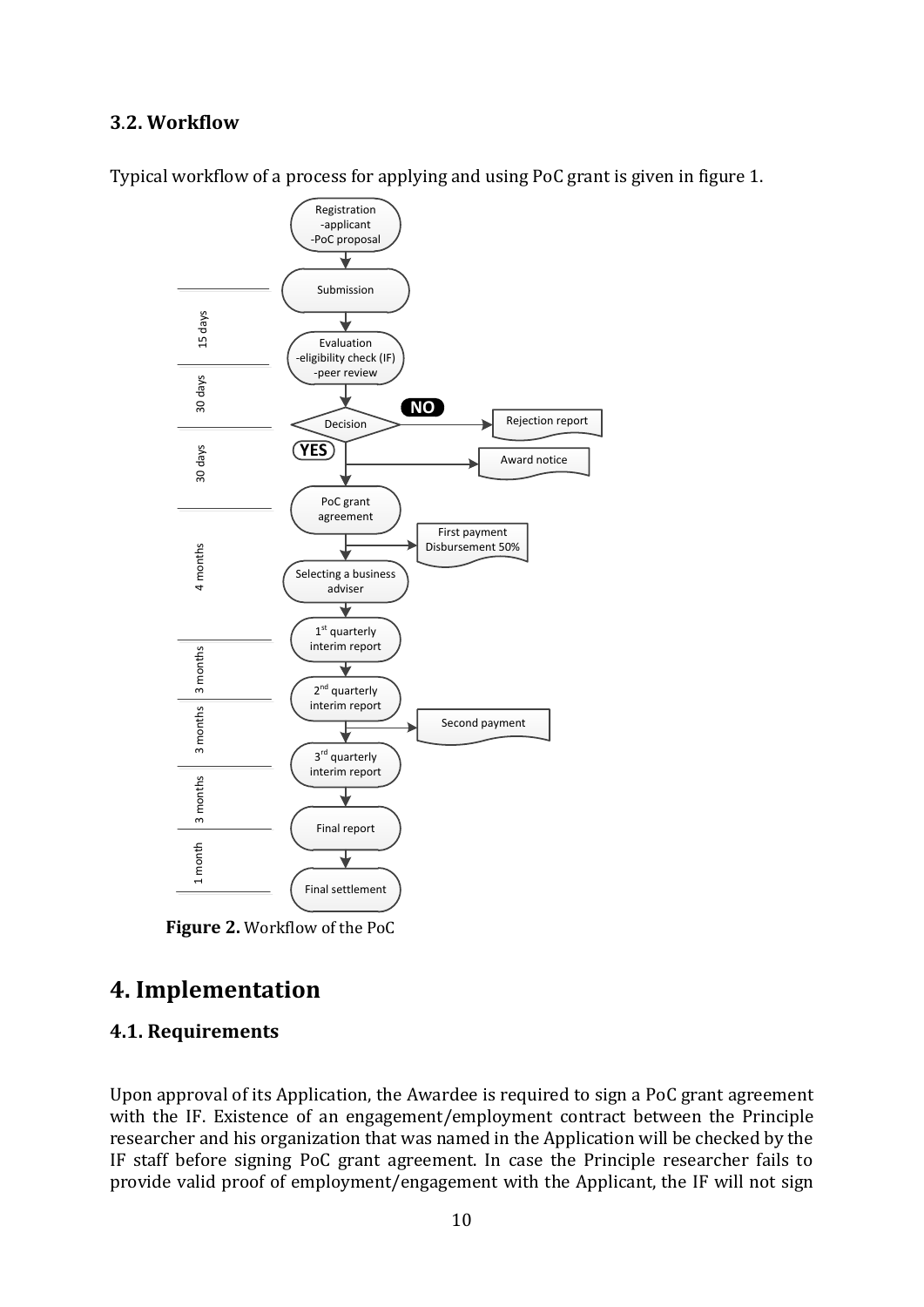#### **3**.**2. Workflow**



Typical workflow of a process for applying and using PoC grant is given in figure 1.

**Figure 2.** Workflow of the PoC

# **4. Implementation**

#### **4.1. Requirements**

Upon approval of its Application, the Awardee is required to sign a PoC grant agreement with the IF. Existence of an engagement/employment contract between the Principle researcher and his organization that was named in the Application will be checked by the IF staff before signing PoC grant agreement. In case the Principle researcher fails to provide valid proof of employment/engagement with the Applicant, the IF will not sign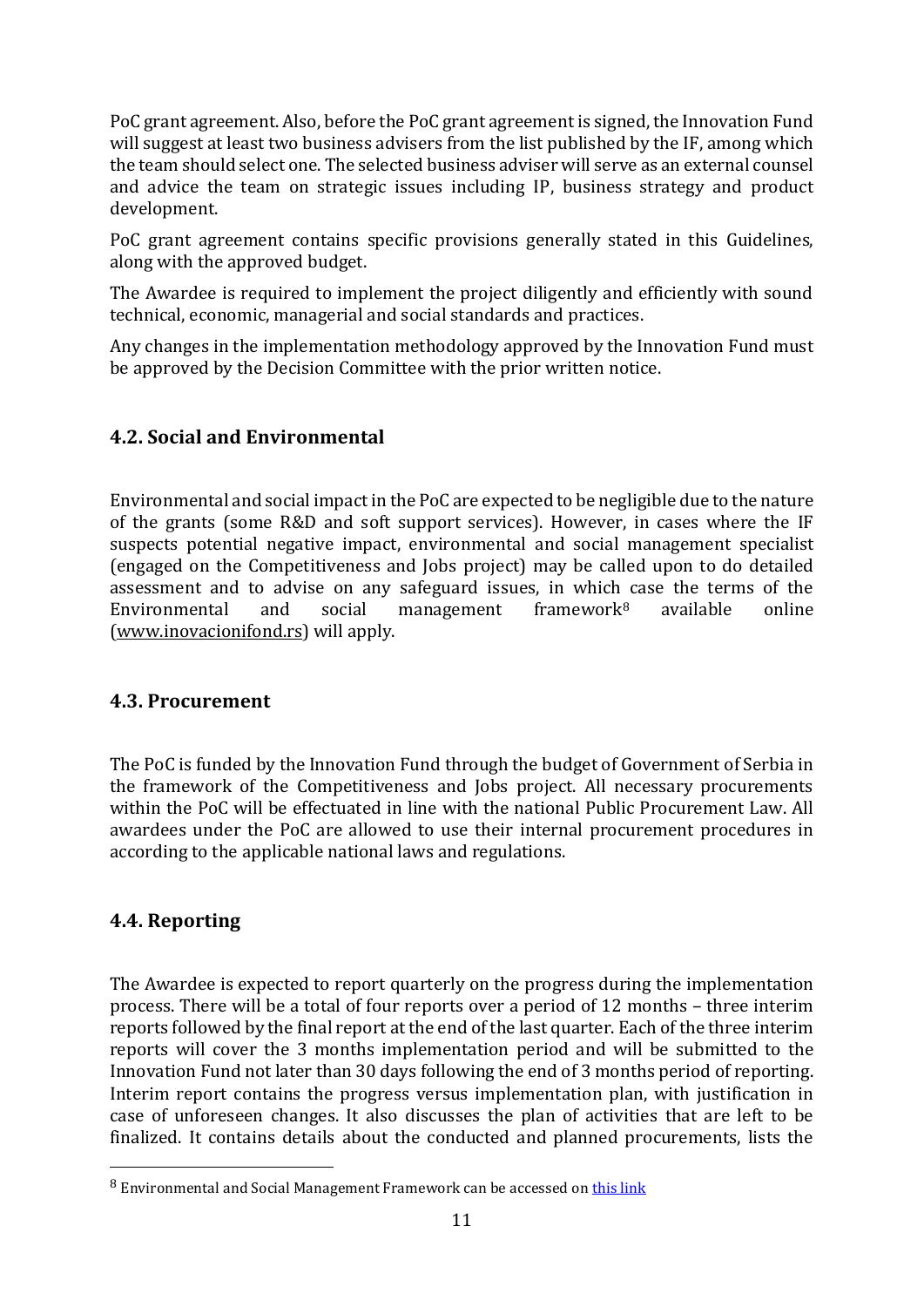PoC grant agreement. Also, before the PoC grant agreement is signed, the Innovation Fund will suggest at least two business advisers from the list published by the IF, among which the team should select one. The selected business adviser will serve as an external counsel and advice the team on strategic issues including IP, business strategy and product development.

PoC grant agreement contains specific provisions generally stated in this Guidelines, along with the approved budget.

The Awardee is required to implement the project diligently and efficiently with sound technical, economic, managerial and social standards and practices.

Any changes in the implementation methodology approved by the Innovation Fund must be approved by the Decision Committee with the prior written notice.

# **4.2. Social and Environmental**

Environmental and social impact in the PoC are expected to be negligible due to the nature of the grants (some R&D and soft support services). However, in cases where the IF suspects potential negative impact, environmental and social management specialist (engaged on the Competitiveness and Jobs project) may be called upon to do detailed assessment and to advise on any safeguard issues, in which case the terms of the Environmental and social management framework<sup>8</sup> available online [\(www.inovacionifond.rs\)](http://www.inovacionifond.rs/) will apply.

#### **4.3. Procurement**

The PoC is funded by the Innovation Fund through the budget of Government of Serbia in the framework of the Competitiveness and Jobs project. All necessary procurements within the PoC will be effectuated in line with the national Public Procurement Law. All awardees under the PoC are allowed to use their internal procurement procedures in according to the applicable national laws and regulations.

# **4.4. Reporting**

The Awardee is expected to report quarterly on the progress during the implementation process. There will be a total of four reports over a period of 12 months – three interim reports followed by the final report at the end of the last quarter. Each of the three interim reports will cover the 3 months implementation period and will be submitted to the Innovation Fund not later than 30 days following the end of 3 months period of reporting. Interim report contains the progress versus implementation plan, with justification in case of unforeseen changes. It also discusses the plan of activities that are left to be finalized. It contains details about the conducted and planned procurements, lists the

<sup>8</sup> Environmental and Social Management Framework can be accessed on [this link](http://www.inovacionifond.rs/cms/files/prr-akti/Environmental_and_Social_Management_Framework_ENG.pdf)